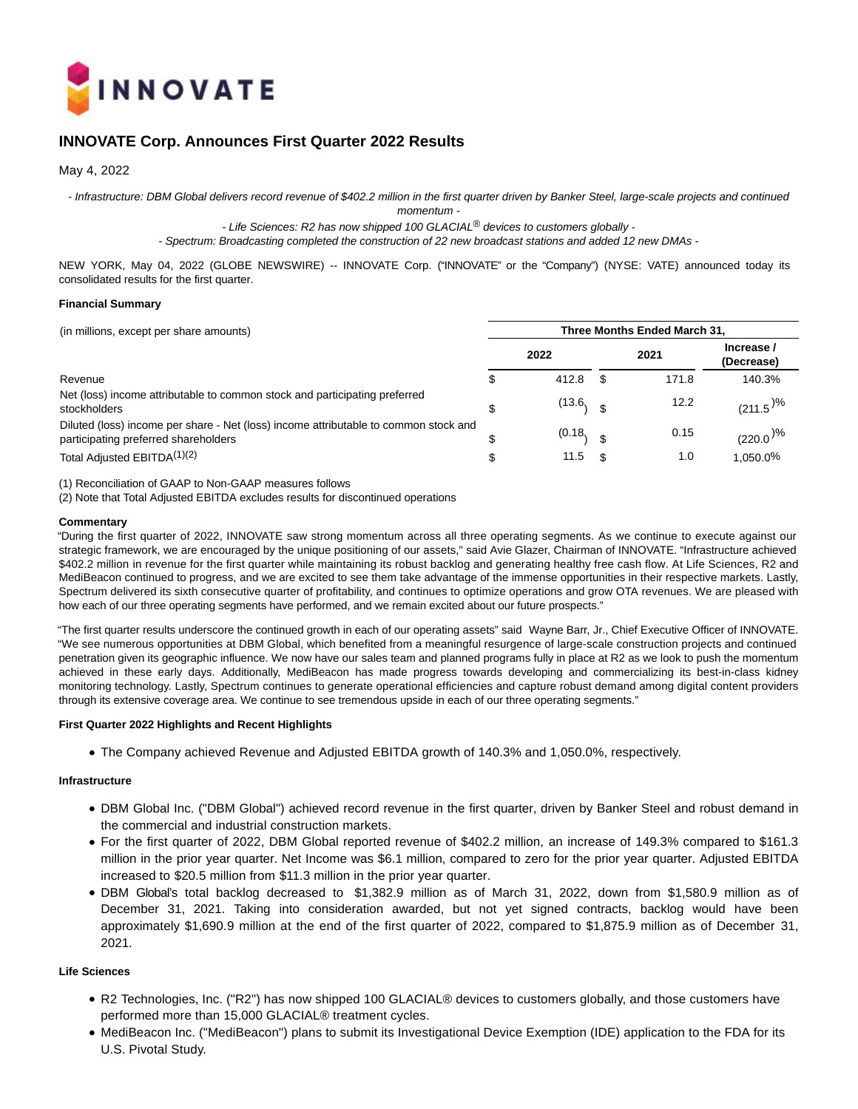

# **INNOVATE Corp. Announces First Quarter 2022 Results**

May 4, 2022

- Infrastructure: DBM Global delivers record revenue of \$402.2 million in the first quarter driven by Banker Steel, large-scale projects and continued

momentum -

- Life Sciences: R2 has now shipped 100 GLACIAL<sup>®</sup> devices to customers globally -

- Spectrum: Broadcasting completed the construction of 22 new broadcast stations and added 12 new DMAs -

NEW YORK, May 04, 2022 (GLOBE NEWSWIRE) -- INNOVATE Corp. ("INNOVATE" or the "Company") (NYSE: VATE) announced today its consolidated results for the first quarter.

#### **Financial Summary**

| (in millions, except per share amounts)                                                                                      | Three Months Ended March 31, |        |  |       |                          |  |  |  |  |  |
|------------------------------------------------------------------------------------------------------------------------------|------------------------------|--------|--|-------|--------------------------|--|--|--|--|--|
|                                                                                                                              |                              | 2022   |  | 2021  | Increase /<br>(Decrease) |  |  |  |  |  |
| Revenue                                                                                                                      | S                            | 412.8  |  | 171.8 | 140.3%                   |  |  |  |  |  |
| Net (loss) income attributable to common stock and participating preferred<br>stockholders                                   | \$                           | (13.6, |  | 12.2  | $(211.5)^{\frac{9}{6}}$  |  |  |  |  |  |
| Diluted (loss) income per share - Net (loss) income attributable to common stock and<br>participating preferred shareholders | S                            | (0.18, |  | 0.15  | $(220.0)^{\%}$           |  |  |  |  |  |
| Total Adjusted EBITDA <sup>(1)(2)</sup>                                                                                      | \$                           | 11.5   |  | 1.0   | 1.050.0%                 |  |  |  |  |  |

(1) Reconciliation of GAAP to Non-GAAP measures follows

(2) Note that Total Adjusted EBITDA excludes results for discontinued operations

## **Commentary**

"During the first quarter of 2022, INNOVATE saw strong momentum across all three operating segments. As we continue to execute against our strategic framework, we are encouraged by the unique positioning of our assets," said Avie Glazer, Chairman of INNOVATE. "Infrastructure achieved \$402.2 million in revenue for the first quarter while maintaining its robust backlog and generating healthy free cash flow. At Life Sciences, R2 and MediBeacon continued to progress, and we are excited to see them take advantage of the immense opportunities in their respective markets. Lastly, Spectrum delivered its sixth consecutive quarter of profitability, and continues to optimize operations and grow OTA revenues. We are pleased with how each of our three operating segments have performed, and we remain excited about our future prospects."

"The first quarter results underscore the continued growth in each of our operating assets" said Wayne Barr, Jr., Chief Executive Officer of INNOVATE. "We see numerous opportunities at DBM Global, which benefited from a meaningful resurgence of large-scale construction projects and continued penetration given its geographic influence. We now have our sales team and planned programs fully in place at R2 as we look to push the momentum achieved in these early days. Additionally, MediBeacon has made progress towards developing and commercializing its best-in-class kidney monitoring technology. Lastly, Spectrum continues to generate operational efficiencies and capture robust demand among digital content providers through its extensive coverage area. We continue to see tremendous upside in each of our three operating segments."

#### **First Quarter 2022 Highlights and Recent Highlights**

The Company achieved Revenue and Adjusted EBITDA growth of 140.3% and 1,050.0%, respectively.

#### **Infrastructure**

- DBM Global Inc. ("DBM Global") achieved record revenue in the first quarter, driven by Banker Steel and robust demand in the commercial and industrial construction markets.
- For the first quarter of 2022, DBM Global reported revenue of \$402.2 million, an increase of 149.3% compared to \$161.3 million in the prior year quarter. Net Income was \$6.1 million, compared to zero for the prior year quarter. Adjusted EBITDA increased to \$20.5 million from \$11.3 million in the prior year quarter.
- DBM Global's total backlog decreased to \$1,382.9 million as of March 31, 2022, down from \$1,580.9 million as of December 31, 2021. Taking into consideration awarded, but not yet signed contracts, backlog would have been approximately \$1,690.9 million at the end of the first quarter of 2022, compared to \$1,875.9 million as of December 31, 2021.

## **Life Sciences**

- R2 Technologies, Inc. ("R2") has now shipped 100 GLACIAL® devices to customers globally, and those customers have performed more than 15,000 GLACIAL® treatment cycles.
- MediBeacon Inc. ("MediBeacon") plans to submit its Investigational Device Exemption (IDE) application to the FDA for its U.S. Pivotal Study.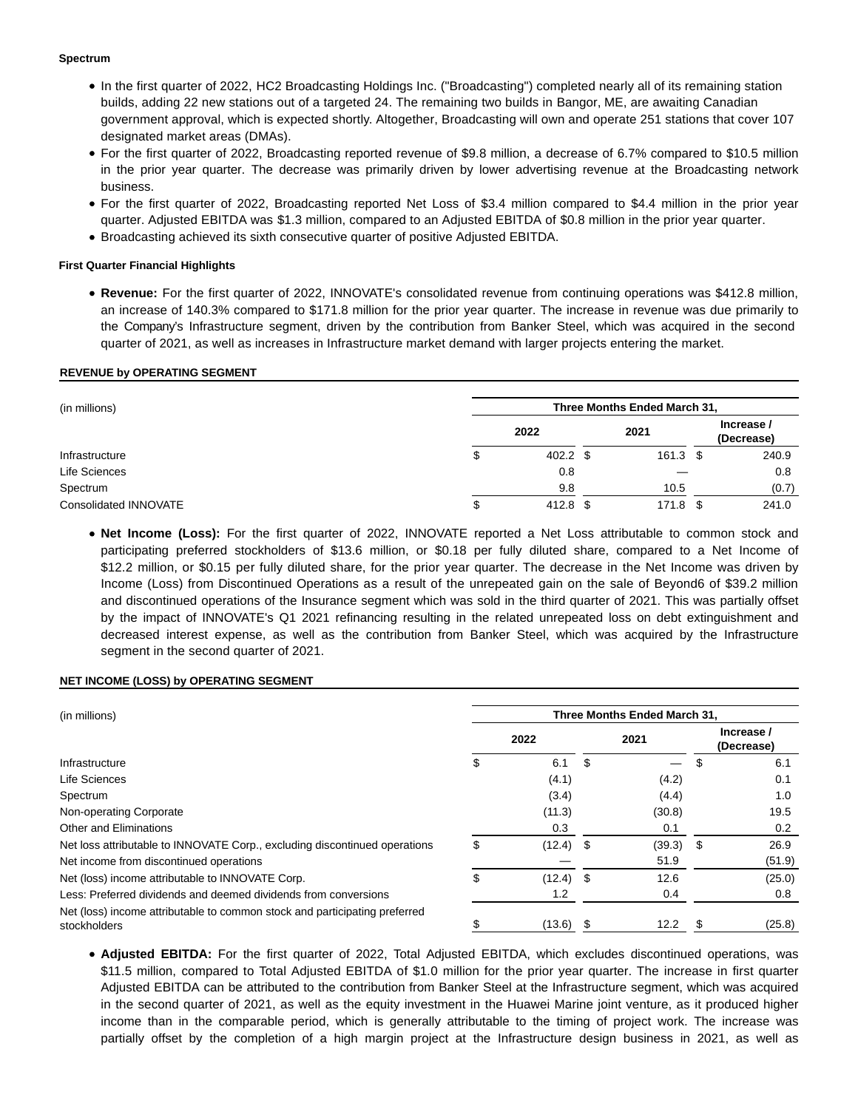## **Spectrum**

- In the first quarter of 2022, HC2 Broadcasting Holdings Inc. ("Broadcasting") completed nearly all of its remaining station builds, adding 22 new stations out of a targeted 24. The remaining two builds in Bangor, ME, are awaiting Canadian government approval, which is expected shortly. Altogether, Broadcasting will own and operate 251 stations that cover 107 designated market areas (DMAs).
- For the first quarter of 2022, Broadcasting reported revenue of \$9.8 million, a decrease of 6.7% compared to \$10.5 million in the prior year quarter. The decrease was primarily driven by lower advertising revenue at the Broadcasting network business.
- For the first quarter of 2022, Broadcasting reported Net Loss of \$3.4 million compared to \$4.4 million in the prior year quarter. Adjusted EBITDA was \$1.3 million, compared to an Adjusted EBITDA of \$0.8 million in the prior year quarter.
- Broadcasting achieved its sixth consecutive quarter of positive Adjusted EBITDA.

## **First Quarter Financial Highlights**

**Revenue:** For the first quarter of 2022, INNOVATE's consolidated revenue from continuing operations was \$412.8 million, an increase of 140.3% compared to \$171.8 million for the prior year quarter. The increase in revenue was due primarily to the Company's Infrastructure segment, driven by the contribution from Banker Steel, which was acquired in the second quarter of 2021, as well as increases in Infrastructure market demand with larger projects entering the market.

## **REVENUE by OPERATING SEGMENT**

| (in millions)         | Three Months Ended March 31, |            |  |            |  |                          |  |  |  |  |
|-----------------------|------------------------------|------------|--|------------|--|--------------------------|--|--|--|--|
|                       |                              | 2022       |  | 2021       |  | Increase /<br>(Decrease) |  |  |  |  |
| Infrastructure        | \$                           | $402.2$ \$ |  | $161.3$ \$ |  | 240.9                    |  |  |  |  |
| Life Sciences         |                              | 0.8        |  |            |  | 0.8                      |  |  |  |  |
| Spectrum              |                              | 9.8        |  | 10.5       |  | (0.7)                    |  |  |  |  |
| Consolidated INNOVATE | J                            | 412.8 \$   |  | 171.8 \$   |  | 241.0                    |  |  |  |  |

**Net Income (Loss):** For the first quarter of 2022, INNOVATE reported a Net Loss attributable to common stock and participating preferred stockholders of \$13.6 million, or \$0.18 per fully diluted share, compared to a Net Income of \$12.2 million, or \$0.15 per fully diluted share, for the prior year quarter. The decrease in the Net Income was driven by Income (Loss) from Discontinued Operations as a result of the unrepeated gain on the sale of Beyond6 of \$39.2 million and discontinued operations of the Insurance segment which was sold in the third quarter of 2021. This was partially offset by the impact of INNOVATE's Q1 2021 refinancing resulting in the related unrepeated loss on debt extinguishment and decreased interest expense, as well as the contribution from Banker Steel, which was acquired by the Infrastructure segment in the second quarter of 2021.

## **NET INCOME (LOSS) by OPERATING SEGMENT**

| Three Months Ended March 31,<br>(in millions)                              |    |        |    |        |    |                          |  |
|----------------------------------------------------------------------------|----|--------|----|--------|----|--------------------------|--|
|                                                                            |    | 2022   |    | 2021   |    | Increase /<br>(Decrease) |  |
| Infrastructure                                                             |    | 6.1    | \$ |        |    | 6.1                      |  |
| Life Sciences                                                              |    | (4.1)  |    | (4.2)  |    | 0.1                      |  |
| Spectrum                                                                   |    | (3.4)  |    | (4.4)  |    | 1.0                      |  |
| Non-operating Corporate                                                    |    | (11.3) |    | (30.8) |    | 19.5                     |  |
| Other and Eliminations                                                     |    | 0.3    |    | 0.1    |    | $0.2^{\circ}$            |  |
| Net loss attributable to INNOVATE Corp., excluding discontinued operations | \$ | (12.4) | \$ | (39.3) | \$ | 26.9                     |  |
| Net income from discontinued operations                                    |    |        |    | 51.9   |    | (51.9)                   |  |
| Net (loss) income attributable to INNOVATE Corp.                           | \$ | (12.4) | \$ | 12.6   |    | (25.0)                   |  |
| Less: Preferred dividends and deemed dividends from conversions            |    | 1.2    |    | 0.4    |    | 0.8                      |  |
| Net (loss) income attributable to common stock and participating preferred |    |        |    |        |    |                          |  |
| stockholders                                                               |    | (13.6) | \$ | 12.2   |    | (25.8)                   |  |

**Adjusted EBITDA:** For the first quarter of 2022, Total Adjusted EBITDA, which excludes discontinued operations, was \$11.5 million, compared to Total Adjusted EBITDA of \$1.0 million for the prior year quarter. The increase in first quarter Adjusted EBITDA can be attributed to the contribution from Banker Steel at the Infrastructure segment, which was acquired in the second quarter of 2021, as well as the equity investment in the Huawei Marine joint venture, as it produced higher income than in the comparable period, which is generally attributable to the timing of project work. The increase was partially offset by the completion of a high margin project at the Infrastructure design business in 2021, as well as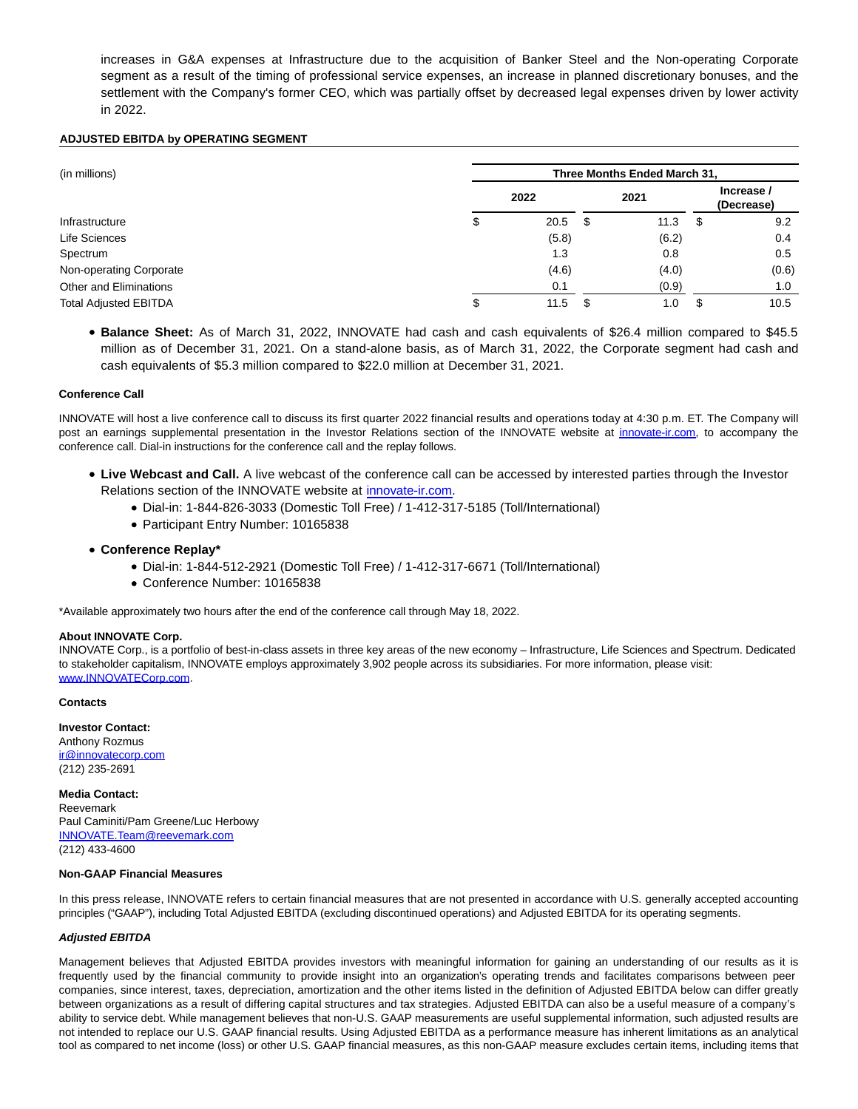increases in G&A expenses at Infrastructure due to the acquisition of Banker Steel and the Non-operating Corporate segment as a result of the timing of professional service expenses, an increase in planned discretionary bonuses, and the settlement with the Company's former CEO, which was partially offset by decreased legal expenses driven by lower activity in 2022.

## **ADJUSTED EBITDA by OPERATING SEGMENT**

| (in millions)                | Three Months Ended March 31, |       |    |       |    |                          |  |  |  |  |  |
|------------------------------|------------------------------|-------|----|-------|----|--------------------------|--|--|--|--|--|
|                              |                              | 2022  |    | 2021  |    | Increase /<br>(Decrease) |  |  |  |  |  |
| Infrastructure               | Φ                            | 20.5  | S  | 11.3  | \$ | 9.2                      |  |  |  |  |  |
| Life Sciences                |                              | (5.8) |    | (6.2) |    | 0.4                      |  |  |  |  |  |
| Spectrum                     |                              | 1.3   |    | 0.8   |    | 0.5                      |  |  |  |  |  |
| Non-operating Corporate      |                              | (4.6) |    | (4.0) |    | (0.6)                    |  |  |  |  |  |
| Other and Eliminations       |                              | 0.1   |    | (0.9) |    | 1.0                      |  |  |  |  |  |
| <b>Total Adjusted EBITDA</b> | \$                           | 11.5  | \$ | 1.0   | S  | 10.5                     |  |  |  |  |  |

**Balance Sheet:** As of March 31, 2022, INNOVATE had cash and cash equivalents of \$26.4 million compared to \$45.5 million as of December 31, 2021. On a stand-alone basis, as of March 31, 2022, the Corporate segment had cash and cash equivalents of \$5.3 million compared to \$22.0 million at December 31, 2021.

## **Conference Call**

INNOVATE will host a live conference call to discuss its first quarter 2022 financial results and operations today at 4:30 p.m. ET. The Company will post an earnings supplemental presentation in the Investor Relations section of the INNOVATE website at [innovate-ir.com,](http://innovate-ir.com/) to accompany the conference call. Dial-in instructions for the conference call and the replay follows.

- **Live Webcast and Call.** A live webcast of the conference call can be accessed by interested parties through the Investor Relations section of the INNOVATE website at [innovate-ir.com.](http://innovate-ir.com/)
	- Dial-in: 1-844-826-3033 (Domestic Toll Free) / 1-412-317-5185 (Toll/International)
	- Participant Entry Number: 10165838
- **Conference Replay\***
	- Dial-in: 1-844-512-2921 (Domestic Toll Free) / 1-412-317-6671 (Toll/International)
	- Conference Number: 10165838

\*Available approximately two hours after the end of the conference call through May 18, 2022.

#### **About INNOVATE Corp.**

INNOVATE Corp., is a portfolio of best-in-class assets in three key areas of the new economy – Infrastructure, Life Sciences and Spectrum. Dedicated to stakeholder capitalism, INNOVATE employs approximately 3,902 people across its subsidiaries. For more information, please visit: [www.INNOVATECorp.com.](https://www.globenewswire.com/Tracker?data=uBm-eessQSh8bXyBOth6O8mEjG23LB3TPsiaoFXe6X82BQL40qN7WehL0owKzuVvJpjeP2F5dZaPF-RBiXo303t6DYyzhCwD8Ok6c9Eyu6E=) 

## **Contacts**

**Investor Contact:** Anthony Rozmus [ir@innovatecorp.com](https://www.globenewswire.com/Tracker?data=v-zfAEXjKWIqA2n1M_Xz1pLYrROTuMhxQ3QDRENJDipnUQQmBfJgFxqlfEP2WWxBPc4_2p75XLT8OhOUAzpmlao8Ylusko9RogXImaxoIc0=) (212) 235-2691

## **Media Contact:**

Reevemark Paul Caminiti/Pam Greene/Luc Herbowy [INNOVATE.Team@reevemark.com](https://www.globenewswire.com/Tracker?data=webW6mSaUSuC4skeyXX71c2yQtdJi5T1Avt33LuzsBXeY6maUbf8Z3xtm2m6z-smJMHVhq--buJWtRR1gLXuK2L96Cec_XXm33fAQa14Qz3u7xtLjxv_-Mf8pfSx8DKF) (212) 433-4600

#### **Non-GAAP Financial Measures**

In this press release, INNOVATE refers to certain financial measures that are not presented in accordance with U.S. generally accepted accounting principles ("GAAP"), including Total Adjusted EBITDA (excluding discontinued operations) and Adjusted EBITDA for its operating segments.

#### **Adjusted EBITDA**

Management believes that Adjusted EBITDA provides investors with meaningful information for gaining an understanding of our results as it is frequently used by the financial community to provide insight into an organization's operating trends and facilitates comparisons between peer companies, since interest, taxes, depreciation, amortization and the other items listed in the definition of Adjusted EBITDA below can differ greatly between organizations as a result of differing capital structures and tax strategies. Adjusted EBITDA can also be a useful measure of a company's ability to service debt. While management believes that non-U.S. GAAP measurements are useful supplemental information, such adjusted results are not intended to replace our U.S. GAAP financial results. Using Adjusted EBITDA as a performance measure has inherent limitations as an analytical tool as compared to net income (loss) or other U.S. GAAP financial measures, as this non-GAAP measure excludes certain items, including items that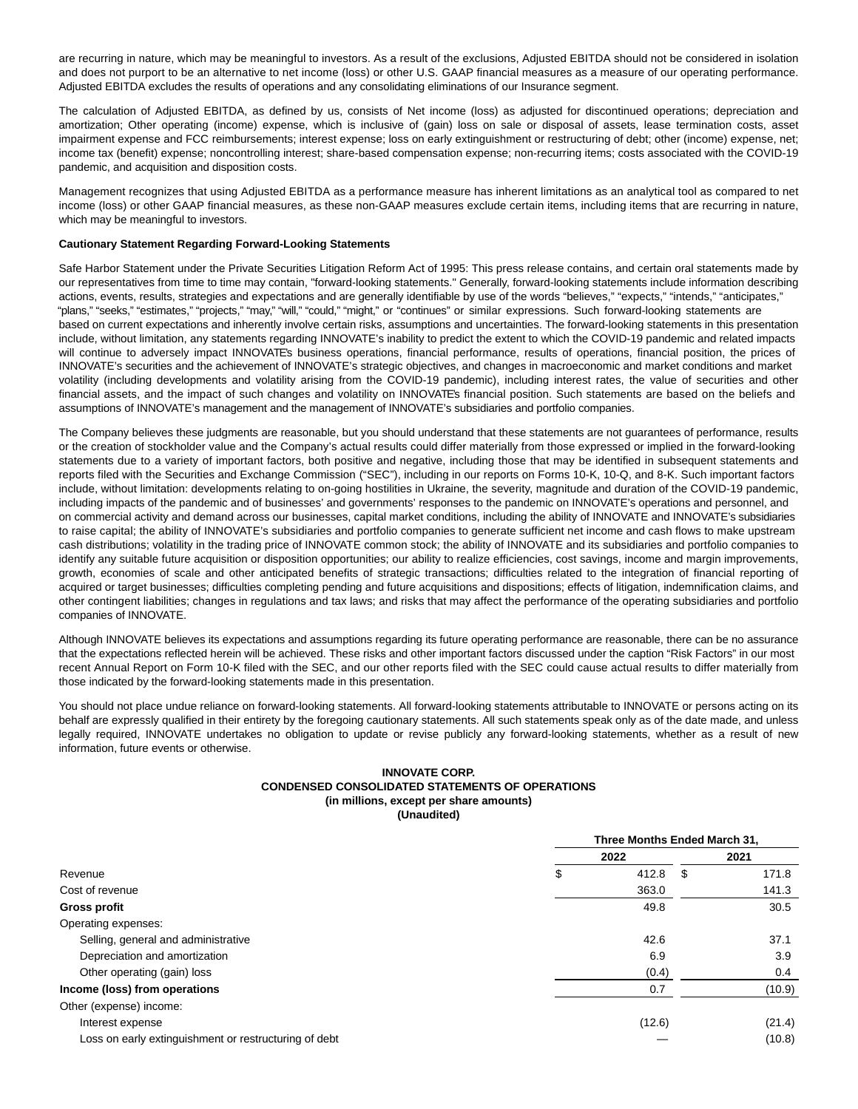are recurring in nature, which may be meaningful to investors. As a result of the exclusions, Adjusted EBITDA should not be considered in isolation and does not purport to be an alternative to net income (loss) or other U.S. GAAP financial measures as a measure of our operating performance. Adjusted EBITDA excludes the results of operations and any consolidating eliminations of our Insurance segment.

The calculation of Adjusted EBITDA, as defined by us, consists of Net income (loss) as adjusted for discontinued operations; depreciation and amortization; Other operating (income) expense, which is inclusive of (gain) loss on sale or disposal of assets, lease termination costs, asset impairment expense and FCC reimbursements; interest expense; loss on early extinguishment or restructuring of debt; other (income) expense, net; income tax (benefit) expense; noncontrolling interest; share-based compensation expense; non-recurring items; costs associated with the COVID-19 pandemic, and acquisition and disposition costs.

Management recognizes that using Adjusted EBITDA as a performance measure has inherent limitations as an analytical tool as compared to net income (loss) or other GAAP financial measures, as these non-GAAP measures exclude certain items, including items that are recurring in nature, which may be meaningful to investors.

#### **Cautionary Statement Regarding Forward-Looking Statements**

Safe Harbor Statement under the Private Securities Litigation Reform Act of 1995: This press release contains, and certain oral statements made by our representatives from time to time may contain, "forward-looking statements." Generally, forward-looking statements include information describing actions, events, results, strategies and expectations and are generally identifiable by use of the words "believes," "expects," "intends," "anticipates," "plans," "seeks," "estimates," "projects," "may," "will," "could," "might," or "continues" or similar expressions. Such forward-looking statements are based on current expectations and inherently involve certain risks, assumptions and uncertainties. The forward-looking statements in this presentation include, without limitation, any statements regarding INNOVATE's inability to predict the extent to which the COVID-19 pandemic and related impacts will continue to adversely impact INNOVATE's business operations, financial performance, results of operations, financial position, the prices of INNOVATE's securities and the achievement of INNOVATE's strategic objectives, and changes in macroeconomic and market conditions and market volatility (including developments and volatility arising from the COVID-19 pandemic), including interest rates, the value of securities and other financial assets, and the impact of such changes and volatility on INNOVATE's financial position. Such statements are based on the beliefs and assumptions of INNOVATE's management and the management of INNOVATE's subsidiaries and portfolio companies.

The Company believes these judgments are reasonable, but you should understand that these statements are not guarantees of performance, results or the creation of stockholder value and the Company's actual results could differ materially from those expressed or implied in the forward-looking statements due to a variety of important factors, both positive and negative, including those that may be identified in subsequent statements and reports filed with the Securities and Exchange Commission ("SEC"), including in our reports on Forms 10-K, 10-Q, and 8-K. Such important factors include, without limitation: developments relating to on-going hostilities in Ukraine, the severity, magnitude and duration of the COVID-19 pandemic, including impacts of the pandemic and of businesses' and governments' responses to the pandemic on INNOVATE's operations and personnel, and on commercial activity and demand across our businesses, capital market conditions, including the ability of INNOVATE and INNOVATE's subsidiaries to raise capital; the ability of INNOVATE's subsidiaries and portfolio companies to generate sufficient net income and cash flows to make upstream cash distributions; volatility in the trading price of INNOVATE common stock; the ability of INNOVATE and its subsidiaries and portfolio companies to identify any suitable future acquisition or disposition opportunities; our ability to realize efficiencies, cost savings, income and margin improvements, growth, economies of scale and other anticipated benefits of strategic transactions; difficulties related to the integration of financial reporting of acquired or target businesses; difficulties completing pending and future acquisitions and dispositions; effects of litigation, indemnification claims, and other contingent liabilities; changes in regulations and tax laws; and risks that may affect the performance of the operating subsidiaries and portfolio companies of INNOVATE.

Although INNOVATE believes its expectations and assumptions regarding its future operating performance are reasonable, there can be no assurance that the expectations reflected herein will be achieved. These risks and other important factors discussed under the caption "Risk Factors" in our most recent Annual Report on Form 10-K filed with the SEC, and our other reports filed with the SEC could cause actual results to differ materially from those indicated by the forward-looking statements made in this presentation.

You should not place undue reliance on forward-looking statements. All forward-looking statements attributable to INNOVATE or persons acting on its behalf are expressly qualified in their entirety by the foregoing cautionary statements. All such statements speak only as of the date made, and unless legally required, INNOVATE undertakes no obligation to update or revise publicly any forward-looking statements, whether as a result of new information, future events or otherwise.

## **INNOVATE CORP. CONDENSED CONSOLIDATED STATEMENTS OF OPERATIONS (in millions, except per share amounts) (Unaudited)**

|                                                       | Three Months Ended March 31, |    |        |  |  |  |  |  |
|-------------------------------------------------------|------------------------------|----|--------|--|--|--|--|--|
|                                                       | 2022                         |    |        |  |  |  |  |  |
| Revenue                                               | \$<br>412.8                  | \$ | 171.8  |  |  |  |  |  |
| Cost of revenue                                       | 363.0                        |    | 141.3  |  |  |  |  |  |
| <b>Gross profit</b>                                   | 49.8                         |    | 30.5   |  |  |  |  |  |
| Operating expenses:                                   |                              |    |        |  |  |  |  |  |
| Selling, general and administrative                   | 42.6                         |    | 37.1   |  |  |  |  |  |
| Depreciation and amortization                         | 6.9                          |    | 3.9    |  |  |  |  |  |
| Other operating (gain) loss                           | (0.4)                        |    | 0.4    |  |  |  |  |  |
| Income (loss) from operations                         | 0.7                          |    | (10.9) |  |  |  |  |  |
| Other (expense) income:                               |                              |    |        |  |  |  |  |  |
| Interest expense                                      | (12.6)                       |    | (21.4) |  |  |  |  |  |
| Loss on early extinguishment or restructuring of debt |                              |    | (10.8) |  |  |  |  |  |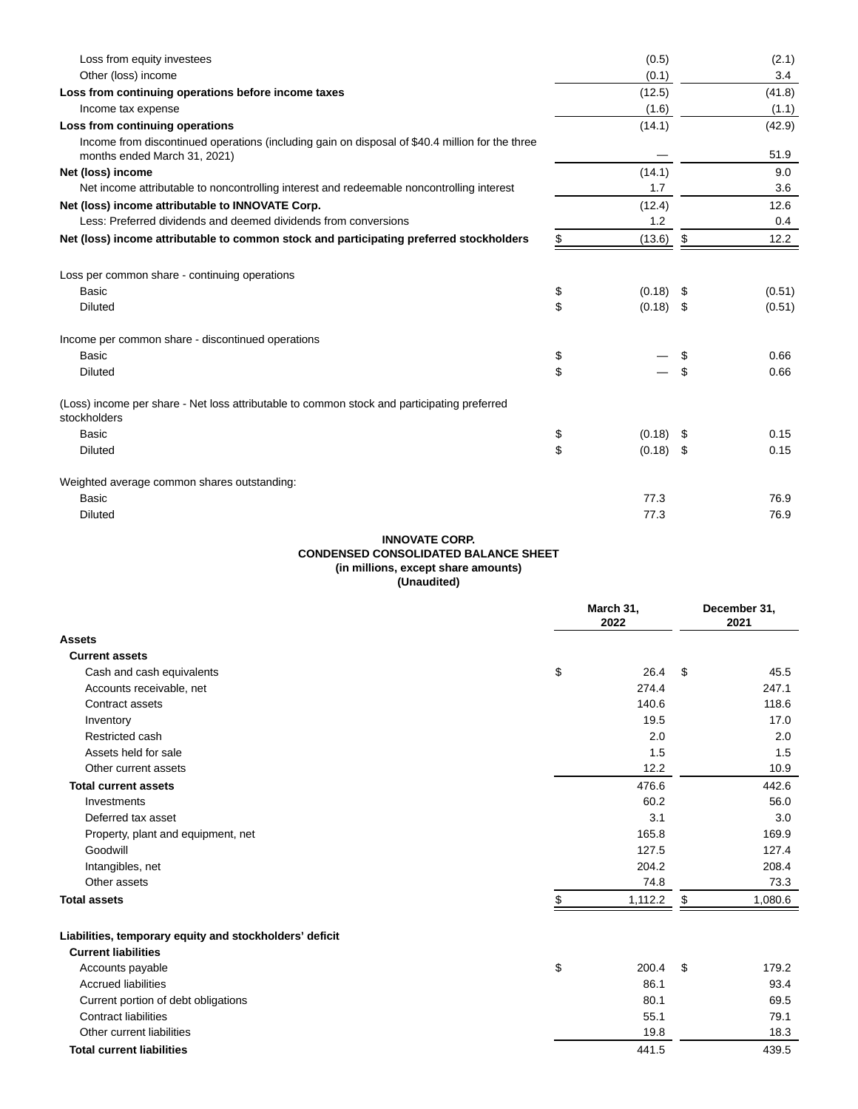| Loss from equity investees                                                                                                      | (0.5)             |     | (2.1)         |
|---------------------------------------------------------------------------------------------------------------------------------|-------------------|-----|---------------|
| Other (loss) income                                                                                                             | (0.1)             |     | $3.4^{\circ}$ |
| Loss from continuing operations before income taxes                                                                             | (12.5)            |     | (41.8)        |
| Income tax expense                                                                                                              | (1.6)             |     | (1.1)         |
| Loss from continuing operations                                                                                                 | (14.1)            |     | (42.9)        |
| Income from discontinued operations (including gain on disposal of \$40.4 million for the three<br>months ended March 31, 2021) |                   |     | 51.9          |
| Net (loss) income                                                                                                               | (14.1)            |     | 9.0           |
| Net income attributable to noncontrolling interest and redeemable noncontrolling interest                                       | 1.7               |     | 3.6           |
| Net (loss) income attributable to INNOVATE Corp.                                                                                | (12.4)            |     | 12.6          |
| Less: Preferred dividends and deemed dividends from conversions                                                                 | 1.2               |     | 0.4           |
| Net (loss) income attributable to common stock and participating preferred stockholders                                         | \$<br>(13.6)      | \$  | 12.2          |
|                                                                                                                                 |                   |     |               |
| Loss per common share - continuing operations                                                                                   |                   |     |               |
| Basic                                                                                                                           | \$<br>$(0.18)$ \$ |     | (0.51)        |
| <b>Diluted</b>                                                                                                                  | \$<br>$(0.18)$ \$ |     | (0.51)        |
| Income per common share - discontinued operations                                                                               |                   |     |               |
| <b>Basic</b>                                                                                                                    | \$                | \$  | 0.66          |
| <b>Diluted</b>                                                                                                                  | \$                | \$  | 0.66          |
| (Loss) income per share - Net loss attributable to common stock and participating preferred<br>stockholders                     |                   |     |               |
| <b>Basic</b>                                                                                                                    | \$<br>(0.18)      | -\$ | 0.15          |
| <b>Diluted</b>                                                                                                                  | \$<br>$(0.18)$ \$ |     | 0.15          |
| Weighted average common shares outstanding:                                                                                     |                   |     |               |
| <b>Basic</b>                                                                                                                    | 77.3              |     | 76.9          |
| <b>Diluted</b>                                                                                                                  |                   |     |               |

## **INNOVATE CORP. CONDENSED CONSOLIDATED BALANCE SHEET (in millions, except share amounts) (Unaudited)**

|                                                                                       | March 31,<br>2022 | December 31,<br>2021 |
|---------------------------------------------------------------------------------------|-------------------|----------------------|
| Assets                                                                                |                   |                      |
| <b>Current assets</b>                                                                 |                   |                      |
| Cash and cash equivalents                                                             | \$<br>26.4        | \$<br>45.5           |
| Accounts receivable, net                                                              | 274.4             | 247.1                |
| Contract assets                                                                       | 140.6             | 118.6                |
| Inventory                                                                             | 19.5              | 17.0                 |
| Restricted cash                                                                       | 2.0               | 2.0                  |
| Assets held for sale                                                                  | 1.5               | 1.5                  |
| Other current assets                                                                  | 12.2              | 10.9                 |
| <b>Total current assets</b>                                                           | 476.6             | 442.6                |
| Investments                                                                           | 60.2              | 56.0                 |
| Deferred tax asset                                                                    | 3.1               | 3.0                  |
| Property, plant and equipment, net                                                    | 165.8             | 169.9                |
| Goodwill                                                                              | 127.5             | 127.4                |
| Intangibles, net                                                                      | 204.2             | 208.4                |
| Other assets                                                                          | 74.8              | 73.3                 |
| <b>Total assets</b>                                                                   | 1,112.2           | \$<br>1,080.6        |
| Liabilities, temporary equity and stockholders' deficit<br><b>Current liabilities</b> |                   |                      |

Accounts payable **179.2 Accounts** payable **179.2 179.2 179.2** Accrued liabilities 86.1 93.4 Current portion of debt obligations 69.5 Contract liabilities 55.1 79.1 Other current liabilities 19.8 18.3 **Total current liabilities** 439.5 439.5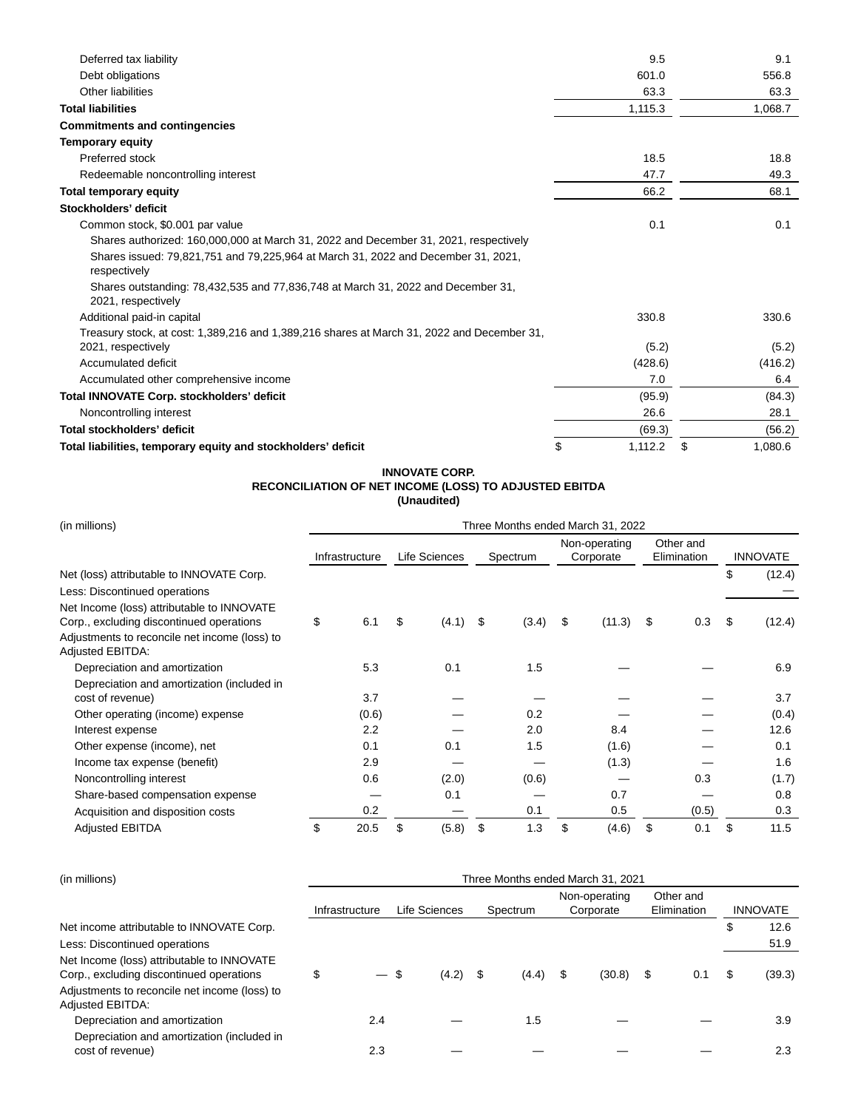| Deferred tax liability                                                                                 | 9.5           | 9.1           |
|--------------------------------------------------------------------------------------------------------|---------------|---------------|
| Debt obligations                                                                                       | 601.0         | 556.8         |
| Other liabilities                                                                                      | 63.3          | 63.3          |
| <b>Total liabilities</b>                                                                               | 1,115.3       | 1,068.7       |
| <b>Commitments and contingencies</b>                                                                   |               |               |
| <b>Temporary equity</b>                                                                                |               |               |
| Preferred stock                                                                                        | 18.5          | 18.8          |
| Redeemable noncontrolling interest                                                                     | 47.7          | 49.3          |
| <b>Total temporary equity</b>                                                                          | 66.2          | 68.1          |
| Stockholders' deficit                                                                                  |               |               |
| Common stock, \$0.001 par value                                                                        | 0.1           | 0.1           |
| Shares authorized: 160,000,000 at March 31, 2022 and December 31, 2021, respectively                   |               |               |
| Shares issued: 79,821,751 and 79,225,964 at March 31, 2022 and December 31, 2021,<br>respectively      |               |               |
| Shares outstanding: 78,432,535 and 77,836,748 at March 31, 2022 and December 31,<br>2021, respectively |               |               |
| Additional paid-in capital                                                                             | 330.8         | 330.6         |
| Treasury stock, at cost: 1,389,216 and 1,389,216 shares at March 31, 2022 and December 31,             |               |               |
| 2021, respectively                                                                                     | (5.2)         | (5.2)         |
| Accumulated deficit                                                                                    | (428.6)       | (416.2)       |
| Accumulated other comprehensive income                                                                 | 7.0           | 6.4           |
| Total INNOVATE Corp. stockholders' deficit                                                             | (95.9)        | (84.3)        |
| Noncontrolling interest                                                                                | 26.6          | 28.1          |
| Total stockholders' deficit                                                                            | (69.3)        | (56.2)        |
| Total liabilities, temporary equity and stockholders' deficit                                          | \$<br>1,112.2 | \$<br>1,080.6 |

#### **INNOVATE CORP. RECONCILIATION OF NET INCOME (LOSS) TO ADJUSTED EBITDA (Unaudited)**

| (in millions)                                                                          | Three Months ended March 31, 2022 |                |    |               |     |          |    |                            |    |                          |    |                 |
|----------------------------------------------------------------------------------------|-----------------------------------|----------------|----|---------------|-----|----------|----|----------------------------|----|--------------------------|----|-----------------|
|                                                                                        |                                   | Infrastructure |    | Life Sciences |     | Spectrum |    | Non-operating<br>Corporate |    | Other and<br>Elimination |    | <b>INNOVATE</b> |
| Net (loss) attributable to INNOVATE Corp.                                              |                                   |                |    |               |     |          |    |                            |    |                          | \$ | (12.4)          |
| Less: Discontinued operations                                                          |                                   |                |    |               |     |          |    |                            |    |                          |    |                 |
| Net Income (loss) attributable to INNOVATE<br>Corp., excluding discontinued operations | \$                                | 6.1            | \$ | (4.1)         | -\$ | (3.4)    | \$ | (11.3)                     | S  | 0.3                      | \$ | (12.4)          |
| Adjustments to reconcile net income (loss) to<br><b>Adjusted EBITDA:</b>               |                                   |                |    |               |     |          |    |                            |    |                          |    |                 |
| Depreciation and amortization                                                          |                                   | 5.3            |    | 0.1           |     | 1.5      |    |                            |    |                          |    | 6.9             |
| Depreciation and amortization (included in                                             |                                   |                |    |               |     |          |    |                            |    |                          |    |                 |
| cost of revenue)                                                                       |                                   | 3.7            |    |               |     |          |    |                            |    |                          |    | 3.7             |
| Other operating (income) expense                                                       |                                   | (0.6)          |    |               |     | 0.2      |    |                            |    |                          |    | (0.4)           |
| Interest expense                                                                       |                                   | 2.2            |    |               |     | 2.0      |    | 8.4                        |    |                          |    | 12.6            |
| Other expense (income), net                                                            |                                   | 0.1            |    | 0.1           |     | 1.5      |    | (1.6)                      |    |                          |    | 0.1             |
| Income tax expense (benefit)                                                           |                                   | 2.9            |    |               |     |          |    | (1.3)                      |    |                          |    | 1.6             |
| Noncontrolling interest                                                                |                                   | 0.6            |    | (2.0)         |     | (0.6)    |    |                            |    | 0.3                      |    | (1.7)           |
| Share-based compensation expense                                                       |                                   |                |    | 0.1           |     |          |    | 0.7                        |    |                          |    | 0.8             |
| Acquisition and disposition costs                                                      |                                   | 0.2            |    |               |     | 0.1      |    | 0.5                        |    | (0.5)                    |    | 0.3             |
| <b>Adjusted EBITDA</b>                                                                 | \$                                | 20.5           | \$ | (5.8)         | \$  | 1.3      | \$ | (4.6)                      | \$ | 0.1                      | \$ | 11.5            |

| (in millions)                                                                          |                | Three Months ended March 31, 2021 |               |       |          |       |                            |        |                          |     |    |                 |  |
|----------------------------------------------------------------------------------------|----------------|-----------------------------------|---------------|-------|----------|-------|----------------------------|--------|--------------------------|-----|----|-----------------|--|
|                                                                                        | Infrastructure |                                   | Life Sciences |       | Spectrum |       | Non-operating<br>Corporate |        | Other and<br>Elimination |     |    | <b>INNOVATE</b> |  |
| Net income attributable to INNOVATE Corp.                                              |                |                                   |               |       |          |       |                            |        |                          |     | \$ | 12.6            |  |
| Less: Discontinued operations                                                          |                |                                   |               |       |          |       |                            |        |                          |     |    | 51.9            |  |
| Net Income (loss) attributable to INNOVATE<br>Corp., excluding discontinued operations | \$             |                                   | \$            | (4.2) | - \$     | (4.4) | S                          | (30.8) | \$                       | 0.1 | \$ | (39.3)          |  |
| Adjustments to reconcile net income (loss) to<br><b>Adjusted EBITDA:</b>               |                |                                   |               |       |          |       |                            |        |                          |     |    |                 |  |
| Depreciation and amortization                                                          |                | 2.4                               |               |       |          | 1.5   |                            |        |                          |     |    | 3.9             |  |
| Depreciation and amortization (included in<br>cost of revenue)                         |                | 2.3                               |               |       |          |       |                            |        |                          |     |    | 2.3             |  |